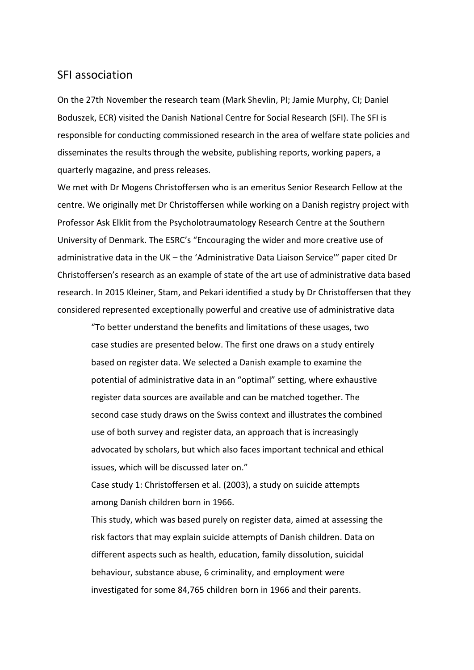## SFI association

On the 27th November the research team (Mark Shevlin, PI; Jamie Murphy, CI; Daniel Boduszek, ECR) visited the Danish National Centre for Social Research (SFI). The SFI is responsible for conducting commissioned research in the area of welfare state policies and disseminates the results through the website, publishing reports, working papers, a quarterly magazine, and press releases.

We met with Dr Mogens Christoffersen who is an emeritus Senior Research Fellow at the centre. We originally met Dr Christoffersen while working on a Danish registry project with Professor Ask Elklit from the Psycholotraumatology Research Centre at the Southern University of Denmark. The ESRC's "Encouraging the wider and more creative use of administrative data in the UK – the 'Administrative Data Liaison Service'" paper cited Dr Christoffersen's research as an example of state of the art use of administrative data based research. In 2015 Kleiner, Stam, and Pekari identified a study by Dr Christoffersen that they considered represented exceptionally powerful and creative use of administrative data

"To better understand the benefits and limitations of these usages, two case studies are presented below. The first one draws on a study entirely based on register data. We selected a Danish example to examine the potential of administrative data in an "optimal" setting, where exhaustive register data sources are available and can be matched together. The second case study draws on the Swiss context and illustrates the combined use of both survey and register data, an approach that is increasingly advocated by scholars, but which also faces important technical and ethical issues, which will be discussed later on."

Case study 1: Christoffersen et al. (2003), a study on suicide attempts among Danish children born in 1966.

This study, which was based purely on register data, aimed at assessing the risk factors that may explain suicide attempts of Danish children. Data on different aspects such as health, education, family dissolution, suicidal behaviour, substance abuse, 6 criminality, and employment were investigated for some 84,765 children born in 1966 and their parents.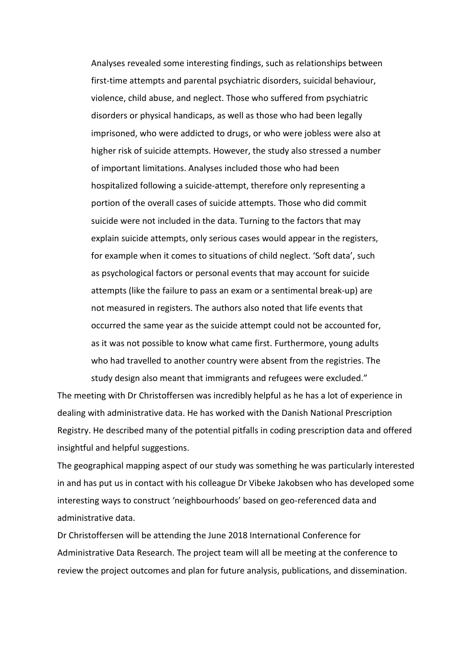Analyses revealed some interesting findings, such as relationships between first-time attempts and parental psychiatric disorders, suicidal behaviour, violence, child abuse, and neglect. Those who suffered from psychiatric disorders or physical handicaps, as well as those who had been legally imprisoned, who were addicted to drugs, or who were jobless were also at higher risk of suicide attempts. However, the study also stressed a number of important limitations. Analyses included those who had been hospitalized following a suicide-attempt, therefore only representing a portion of the overall cases of suicide attempts. Those who did commit suicide were not included in the data. Turning to the factors that may explain suicide attempts, only serious cases would appear in the registers, for example when it comes to situations of child neglect. 'Soft data', such as psychological factors or personal events that may account for suicide attempts (like the failure to pass an exam or a sentimental break-up) are not measured in registers. The authors also noted that life events that occurred the same year as the suicide attempt could not be accounted for, as it was not possible to know what came first. Furthermore, young adults who had travelled to another country were absent from the registries. The study design also meant that immigrants and refugees were excluded."

The meeting with Dr Christoffersen was incredibly helpful as he has a lot of experience in dealing with administrative data. He has worked with the Danish National Prescription Registry. He described many of the potential pitfalls in coding prescription data and offered insightful and helpful suggestions.

The geographical mapping aspect of our study was something he was particularly interested in and has put us in contact with his colleague Dr Vibeke Jakobsen who has developed some interesting ways to construct 'neighbourhoods' based on geo-referenced data and administrative data.

Dr Christoffersen will be attending the June 2018 International Conference for Administrative Data Research. The project team will all be meeting at the conference to review the project outcomes and plan for future analysis, publications, and dissemination.